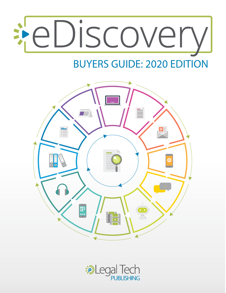

# **BUYERS GUIDE: 2020 EDITION**



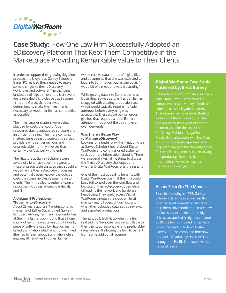

# **Case Study:** How One Law Firm Successfully Adopted an eDiscovery Platform That Kept Them Competitive in the Marketplace Providing Remarkable Value to Their Clients

In order to support their growing litigation practice, the lawyers at Garvey Schubert Barer, PC realized they needed to make some changes to their eDiscovery workflows and software. The changing landscape of litigation over the last several years revealed a knowledge gap in some firms and Garvey Schubert was determined to make the investments necessary to keep their firm as competitive as possible.

The firm's smaller matters were being plagued by costs that couldn't be recovered due to antiquated software and insufficient training. The more complex matters were being outsourced to service providers who sent enormous and unpredictable monthly invoices that certainly didn't sit well with clients.

The litigators at Garvey Schubert were aware of client frustration in regards to those unpredictable costs, so they sought a way to refine their eDiscovery processes and potentially even recover the outside costs they were helplessly passing on to clients. The firm pulled together a team of resources including lawyers, paralegals, and IT.

#### **A Unique IT Professional Thrown into eDiscovery**

About 25 years ago, an IT professional by the name of Esther Sugai joined Garvey Schubert. Among her many responsibilities at the firm, Esther soon found that a huge chunk of her time was taken up by a quirky piece of software used by litigation teams called Summation which was not well liked. She had to learn about Summation while juggling all her other IT duties. Esther

would receive data dumps of digital files and documents that she was expected to load into Summation but, as she put it, "It was a bit of a mess and very frustrating."

While getting data into Summation was frustrating, so was getting files out. Esther struggled with creating production sets which would typically require multiple attempts before everything was acceptable. There would be numerous glitches that required a lot of Esther's attention throughout the day and even over weekends.

#### **Was There a Better Way to Manage eDiscovery?**

Looking for a better way, the litigation chair at Garvey Schubert heard about Digital WarRoom and commissioned Esther to seek out more information about it. There were several internal meetings to discuss the firm's eDiscovery challenges and whether Digital WarRoom was the right fit.

One of the most appealing benefits with Digital WarRoom was that the firm could keep full control over the workflow and logistics of their eDiscovery duties while offloading the network and hardware headaches. They could access Digital WarRoom through the cloud while still maintaining full oversight on how and when they uploaded data, set up reviews, and exported productions.

The light bulb truly lit up when the firm realized the "in-house" work was billable to their clients at reasonable (and predictable) rates while still allowing the firm to benefit from some additional revenue.

### **Digital WarRoom Case Study Authored by: Brett Burney**

In his role as a consummate eDiscovery consultant, Brett Burney comes in contact with a wide variety of tools and software used in litigation matters. That experience has enabled Brett to write about the eDiscovery industry and review multiple products as the Editor-in-Chief for the Legal Tech Publishing Division of Legal Tech Media. Brett also works with law firms and corporate legal departments to help them navigate the challenges they face in collecting, processing, reviewing, and producing electronically stored information involved in litigation matters and investigations.

#### **A Law Firm On The Move…**

Since its founding in 1966, Garvey Schubert Barer focused on resultsoriented legal counsel for clients to help them solve problems, create new business opportunities, and mitigate risks associated with litigation. In June 2019, the firm combined forces with Foster Pepper LLC to form Foster Garvey, PC. The combined firm now has over 180 attorneys in six offices through the Pacific Northwest with a national reach.

**D**Legal Tech | legaltechpublishing.com | © Legal Tech Publishing 2020. PAGE 2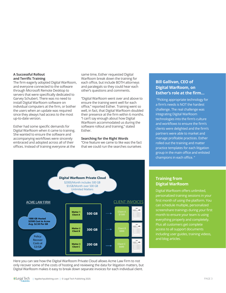#### **A Successful Rollout and Terrific Training**

The firm eagerly adopted Digital WarRoom, and everyone connected to the software through Microsoft Remote Desktop to servers that were specifically dedicated to Garvey Schubert. There was no need to install Digital WarRoom software on individual computers at the firm, or bother the users when an update was required since they always had access to the most up-to-date version.

Esther had some specific demands for Digital WarRoom when it came to training. She wanted to ensure the software and accompanying workflows were sincerely embraced and adopted across all of their offices. Instead of training everyone at the

same time, Esther requested Digital WarRoom break down the training for each office, but include BOTH attorneys and paralegals so they could hear each other's questions and comments.

"Digital WarRoom went over and above to ensure the training went well for each office," reported Esther. Training went so well, in fact, that Digital WarRoom doubled their presence at the firm within 6 months. "I can't say enough about how Digital WarRoom accommodated us during the software rollout and training," stated Esther.

#### **Searching for the Right Words**

"One feature we came to like was the fact that we could run the searches ourselves



Here you can see how the Digital WarRoom Private Cloud allows Acme Law Firm to not only recover some of the costs of hosting and reviewing the data for litigation matters, but Digital WarRoom makes it easy to break down separate invoices for each individual client.

### **Bill Gallivan, CEO of Digital WarRoom, on Esther's role at the firm…**

 "Picking appropriate technology for a firm's needs is NOT the hardest challenge. The real challenge was integrating Digital WarRoom technologies into the firm's culture and workflows to ensure the firm's clients were delighted and the firm's partners were able to market and manage profitable practices. Esther rolled out the training and matter practice templates for each litigation group in the main office and enlisted champions in each office. "

## **Training from Digital WarRoom**

Digital WarRoom offers unlimited, personalized training sessions in your first month of using the platform. You can schedule multiple, personalized screenshare trainings during your first month to ensure your team is using everything properly and completely. Plus all customers get complete access to all support documents including user guides, training videos, and blog articles.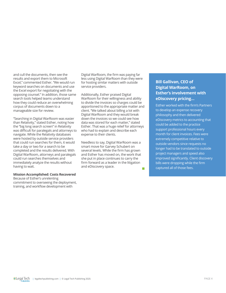and cull the documents, then see the results and export them to Microsoft Excel," commented Esther. "We would run keyword searches on documents and use the Excel export for negotiating with the opposing counsel." In addition, those same search tools helped teams understand how they could reduce an overwhelming corpus of documents down to a manageable size for review.

"Searching in Digital WarRoom was easier than Relativity," stated Esther, noting how the "big long search screen" in Relativity was difficult for paralegals and attorneys to navigate. While the Relativity databases were hosted by outside service providers that could run searches for them, it would take a day or two for a search to be completed and the results delivered. With Digital WarRoom, attorneys and paralegals could run searches themselves and immediately analyze the results without having to wait.

#### **Mission Accomplished: Costs Recovered**

Because of Esther's unrelenting commitment to overseeing the deployment, training, and workflow development with

Digital WarRoom, the firm was paying far less using Digital WarRoom than they were for hosting similar matters with outside service providers.

Additionally, Esther praised Digital WarRoom for their willingness and ability to divide the invoices so charges could be apportioned to the appropriate matter and client. "We talked about billing a lot with Digital WarRoom and they would break down the invoices so we could see how data was stored for each matter," stated Esther. That was a huge relief for attorneys who had to explain and describe each expense to their clients.

Needless to say, Digital WarRoom was a smart move for Garvey Schubert on several levels. While the firm has grown and Esther has moved on, the work that she put in place continues to carry the firm forward as a leader in the litigation and eDiscovery space.

# **Bill Gallivan, CEO of Digital WarRoom, on Esther's involvement with eDiscovery pricing…**

Esther worked with the firm's Partners to develop an expense recovery philosophy and then delivered eDiscovery metrics to accounting that could be added to the practice support professional hours every month for client invoices. Fees were extremely competitive relative to outside vendors since requests no longer had to be translated to outside project managers and speed also improved significantly. Client discovery bills were dropping while the firm captured all of those fees.

| legaltechpublishing.com | © Legal Tech Publishing 2020. PAGE 4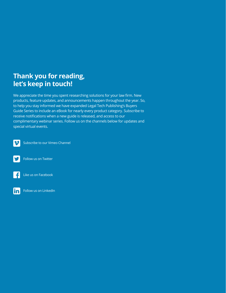# **Thank you for reading, let's keep in touch!**

We appreciate the time you spent researching solutions for your law firm. New products, feature updates, and announcements happen throughout the year. So, to help you stay informed we have expanded Legal Tech Publishing's Buyers Guide Series to include an eBook for nearly every product category. Subscribe to receive notifications when a new guide is released, and access to our complimentary webinar series. Follow us on the channels below for updates and special virtual events.



[Subscribe to our Vimeo Channel](https://vimeo.com/legaltechpub)



[Follow us on Twitter](https://twitter.com/legaltechpub)



[Like us on Facebook](https://www.facebook.com/LegalTechPublishing/)



Follow us on LinkedIn